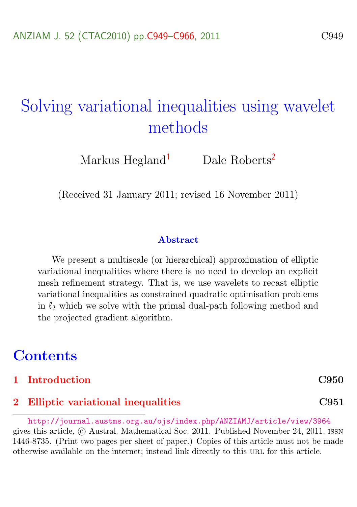# <span id="page-0-0"></span>Solving variational inequalities using wavelet methods

Markus Hegland<sup>[1](#page-17-1)</sup> Dale Roberts<sup>[2](#page-17-0)</sup>

(Received 31 January 2011; revised 16 November 2011)

#### Abstract

We present a multiscale (or hierarchical) approximation of elliptic variational inequalities where there is no need to develop an explicit mesh refinement strategy. That is, we use wavelets to recast elliptic variational inequalities as constrained quadratic optimisation problems in  $\ell_2$  which we solve with the primal dual-path following method and the projected gradient algorithm.

### **Contents**

| 1 Introduction | C950 |
|----------------|------|
|----------------|------|

#### [2 Elliptic variational inequalities](#page-2-0) C951

<http://journal.austms.org.au/ojs/index.php/ANZIAMJ/article/view/3964> gives this article, c Austral. Mathematical Soc. 2011. Published November 24, 2011. issn 1446-8735. (Print two pages per sheet of paper.) Copies of this article must not be made otherwise available on the internet; instead link directly to this url for this article.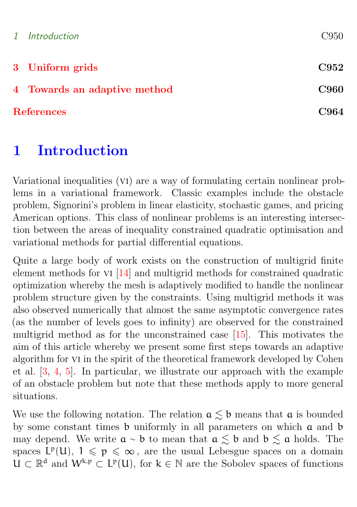<span id="page-1-1"></span>

| 1 Introduction               | C950 |
|------------------------------|------|
| 3 Uniform grids              | C952 |
| 4 Towards an adaptive method | C960 |
| <b>References</b>            | C964 |

# <span id="page-1-0"></span>1 Introduction

Variational inequalities (vi) are a way of formulating certain nonlinear problems in a variational framework. Classic examples include the obstacle problem, Signorini's problem in linear elasticity, stochastic games, and pricing American options. This class of nonlinear problems is an interesting intersection between the areas of inequality constrained quadratic optimisation and variational methods for partial differential equations.

Quite a large body of work exists on the construction of multigrid finite element methods for vi [\[14\]](#page-16-0) and multigrid methods for constrained quadratic optimization whereby the mesh is adaptively modified to handle the nonlinear problem structure given by the constraints. Using multigrid methods it was also observed numerically that almost the same asymptotic convergence rates (as the number of levels goes to infinity) are observed for the constrained multigrid method as for the unconstrained case [\[15\]](#page-16-1). This motivates the aim of this article whereby we present some first steps towards an adaptive algorithm for vi in the spirit of the theoretical framework developed by Cohen et al. [\[3,](#page-15-1) [4,](#page-15-2) [5\]](#page-15-3). In particular, we illustrate our approach with the example of an obstacle problem but note that these methods apply to more general situations.

We use the following notation. The relation  $a \lesssim b$  means that a is bounded by some constant times b uniformly in all parameters on which a and b may depend. We write  $a \sim b$  to mean that  $a \leq b$  and  $b \leq a$  holds. The spaces  $L^p(U)$ ,  $1 \leq p \leq \infty$ , are the usual Lebesgue spaces on a domain  $U \subset \mathbb{R}^d$  and  $W^{k,p} \subset L^p(U)$ , for  $k \in \mathbb{N}$  are the Sobolev spaces of functions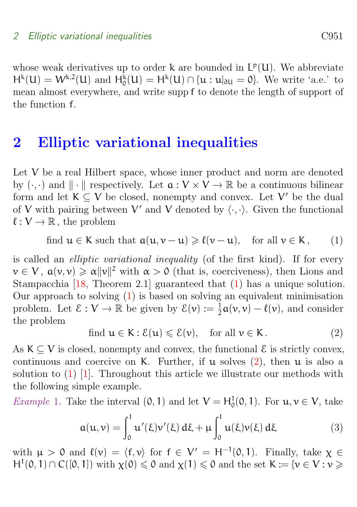#### <span id="page-2-4"></span>2 Elliptic variational inequalities C951

whose weak derivatives up to order  $k$  are bounded in  $L^p(U)$ . We abbreviate  $H^{k}(U) = W^{k,2}(U)$  and  $H^{k}(U) = H^{k}(U) \cap \{u : u|_{\partial U} = 0\}$ . We write 'a.e.' to mean almost everywhere, and write supp f to denote the length of support of the function f.

## <span id="page-2-0"></span>2 Elliptic variational inequalities

Let V be a real Hilbert space, whose inner product and norm are denoted by  $(\cdot, \cdot)$  and  $\|\cdot\|$  respectively. Let  $\mathfrak{a}: V \times V \to \mathbb{R}$  be a continuous bilinear form and let  $K \subseteq V$  be closed, nonempty and convex. Let V' be the dual of V with pairing between V' and V denoted by  $\langle \cdot, \cdot \rangle$ . Given the functional  $\ell : V \to \mathbb{R}$ , the problem

<span id="page-2-1"></span>find 
$$
u \in K
$$
 such that  $a(u, v - u) \ge \ell(v - u)$ , for all  $v \in K$ , (1)

is called an elliptic variational inequality (of the first kind). If for every  $\nu \in V$ ,  $\alpha(\nu, \nu) \ge \alpha ||\nu||^2$  with  $\alpha > 0$  (that is, coerciveness), then Lions and Stampacchia [\[18,](#page-16-2) Theorem 2.1] guaranteed that [\(1\)](#page-2-1) has a unique solution. Our approach to solving [\(1\)](#page-2-1) is based on solving an equivalent minimisation problem. Let  $\mathcal{E}: V \to \mathbb{R}$  be given by  $\mathcal{E}(v) := \frac{1}{2} a(v, v) - \ell(v)$ , and consider the problem

<span id="page-2-2"></span>find 
$$
u \in K : \mathcal{E}(u) \leq \mathcal{E}(v)
$$
, for all  $v \in K$ . (2)

As  $K \subseteq V$  is closed, nonempty and convex, the functional  $\mathcal{E}$  is strictly convex, continuous and coercive on K. Further, if  $\mu$  solves  $(2)$ , then  $\mu$  is also a solution to  $(1)$  [\[1\]](#page-15-4). Throughout this article we illustrate our methods with the following simple example.

<span id="page-2-3"></span>*Example* 1. Take the interval  $(0, 1)$  and let  $V = H_0^1(0, 1)$ . For  $u, v \in V$ , take

$$
a(u, v) = \int_0^1 u'(\xi)v'(\xi) d\xi + \mu \int_0^1 u(\xi)v(\xi) d\xi
$$
 (3)

with  $\mu > 0$  and  $\ell(\nu) = \langle f, \nu \rangle$  for  $f \in V' = H^{-1}(0, 1)$ . Finally, take  $\chi \in$  $H^1(0,1) \cap C([0,1])$  with  $\chi(0) \leq 0$  and  $\chi(1) \leq 0$  and the set  $K := \{v \in V : v \geq 0\}$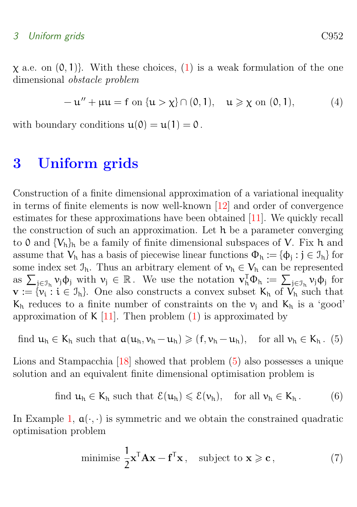<span id="page-3-4"></span> $\chi$  a.e. on  $(0, 1)$ . With these choices,  $(1)$  is a weak formulation of the one dimensional obstacle problem

$$
-u'' + \mu u = f \text{ on } \{u > \chi\} \cap (0, 1), \quad u \ge \chi \text{ on } (0, 1), \tag{4}
$$

with boundary conditions  $u(0) = u(1) = 0$ .

### <span id="page-3-0"></span>3 Uniform grids

Construction of a finite dimensional approximation of a variational inequality in terms of finite elements is now well-known [\[12\]](#page-16-3) and order of convergence estimates for these approximations have been obtained [\[11\]](#page-16-4). We quickly recall the construction of such an approximation. Let h be a parameter converging to 0 and  ${V_h}_h$  be a family of finite dimensional subspaces of V. Fix h and assume that  $V_h$  has a basis of piecewise linear functions  $\Phi_h := {\phi_j : j \in \mathcal{I}_h}$  for some index set  $\mathcal{I}_h$ . Thus an arbitrary element of  $v_h \in V_h$  can be represented as  $\sum_{j\in\mathcal{I}_h} \nu_j \varphi_j$  with  $\nu_j \in \mathbb{R}$ . We use the notation  $\mathbf{v}_h^T \Phi_h := \sum_{j\in\mathcal{I}_h} \nu_j \varphi_j$  for  $\mathbf{v} := \{v_i : i \in \mathcal{I}_h\}$ . One also constructs a convex subset  $K_h$  of  $V_h$  such that  $K_h$  reduces to a finite number of constraints on the  $v_i$  and  $K_h$  is a 'good' approximation of  $K$  [\[11\]](#page-16-4). Then problem [\(1\)](#page-2-1) is approximated by

<span id="page-3-1"></span>
$$
\text{find } u_h \in K_h \text{ such that } \mathfrak{a}(u_h, \nu_h - u_h) \geqslant (f, \nu_h - u_h), \quad \text{for all } \nu_h \in K_h. \tag{5}
$$

Lions and Stampacchia [\[18\]](#page-16-2) showed that problem [\(5\)](#page-3-1) also possesses a unique solution and an equivalent finite dimensional optimisation problem is

<span id="page-3-3"></span>
$$
\text{find } u_h \in K_h \text{ such that } \mathcal{E}(u_h) \leqslant \mathcal{E}(\nu_h), \quad \text{for all } \nu_h \in K_h. \tag{6}
$$

In Example [1,](#page-2-3)  $a(\cdot, \cdot)$  is symmetric and we obtain the constrained quadratic optimisation problem

<span id="page-3-2"></span>minimise 
$$
\frac{1}{2} \mathbf{x}^T \mathbf{A} \mathbf{x} - \mathbf{f}^T \mathbf{x}
$$
, subject to  $\mathbf{x} \geqslant \mathbf{c}$ , (7)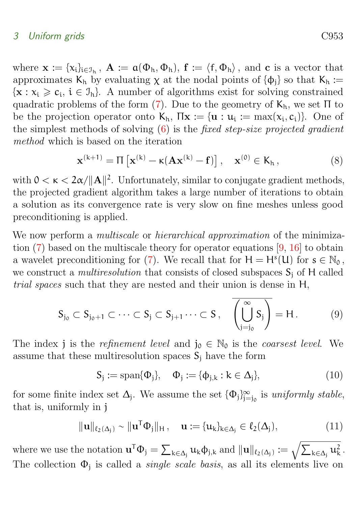<span id="page-4-3"></span>where  $\mathbf{x} := {x_i}_{i \in \mathcal{I}_h}$ ,  $\mathbf{A} := \mathfrak{a}(\Phi_h, \Phi_h)$ ,  $\mathbf{f} := \langle f, \Phi_h \rangle$ , and  $\mathbf{c}$  is a vector that approximates  $K_h$  by evaluating  $\chi$  at the nodal points of  $\{\phi_i\}$  so that  $K_h :=$  $\{x : x_i \geq c_i, i \in \mathcal{I}_h\}$ . A number of algorithms exist for solving constrained quadratic problems of the form [\(7\)](#page-3-2). Due to the geometry of  $K_h$ , we set  $\Pi$  to be the projection operator onto  $K_h$ ,  $\Pi \mathbf{x} := \{ \mathbf{u} : \mathbf{u}_i := \max(x_i, c_i) \}.$  One of the simplest methods of solving  $(6)$  is the *fixed step-size projected gradient* method which is based on the iteration

<span id="page-4-2"></span>
$$
\mathbf{x}^{(k+1)} = \Pi \left[ \mathbf{x}^{(k)} - \kappa (\mathbf{A} \mathbf{x}^{(k)} - \mathbf{f}) \right], \quad \mathbf{x}^{(0)} \in K_h,
$$
 (8)

with  $0 < \kappa < 2\alpha / ||\mathbf{A}||^2$ . Unfortunately, similar to conjugate gradient methods, the projected gradient algorithm takes a large number of iterations to obtain a solution as its convergence rate is very slow on fine meshes unless good preconditioning is applied.

We now perform a *multiscale* or *hierarchical approximation* of the minimization [\(7\)](#page-3-2) based on the multiscale theory for operator equations [\[9,](#page-16-5) [16\]](#page-16-6) to obtain a wavelet preconditioning for [\(7\)](#page-3-2). We recall that for  $H = H<sup>s</sup>(U)$  for  $s \in \mathbb{N}<sub>0</sub>$ , we construct a *multiresolution* that consists of closed subspaces  $S_i$  of H called trial spaces such that they are nested and their union is dense in H,

<span id="page-4-0"></span>
$$
S_{j_0} \subset S_{j_0+1} \subset \cdots \subset S_j \subset S_{j+1} \cdots \subset S, \quad \overline{\left(\bigcup_{j=j_0}^{\infty} S_j\right)} = H.
$$
 (9)

The index j is the *refinement level* and  $j_0 \in \mathbb{N}_0$  is the *coarsest level*. We assume that these multiresolution spaces  $S_i$  have the form

$$
S_j := \text{span}\{\Phi_j\}, \quad \Phi_j := \{\phi_{j,k} : k \in \Delta_j\},\tag{10}
$$

for some finite index set  $\Delta_j$ . We assume the set  $\{\Phi_j\}_{j=j_0}^{\infty}$  is uniformly stable, that is, uniformly in j

<span id="page-4-1"></span>
$$
\|\mathbf{u}\|_{\ell_2(\Delta_j)} \sim \|\mathbf{u}^{\mathsf{T}}\Phi_j\|_{\mathsf{H}}, \quad \mathbf{u} := \{\mathbf{u}_k\}_{k \in \Delta_j} \in \ell_2(\Delta_j), \tag{11}
$$

where we use the notation  $\mathbf{u}^{\mathsf{T}} \Phi_{j} = \sum_{k \in \Delta_{j}} u_{k} \phi_{j,k}$  and  $\|\mathbf{u}\|_{\ell_{2}(\Delta_{j})} := \sqrt{\sum_{k \in \Delta_{j}} u_{k}^{2}}$ . The collection  $\Phi_j$  is called a *single scale basis*, as all its elements live on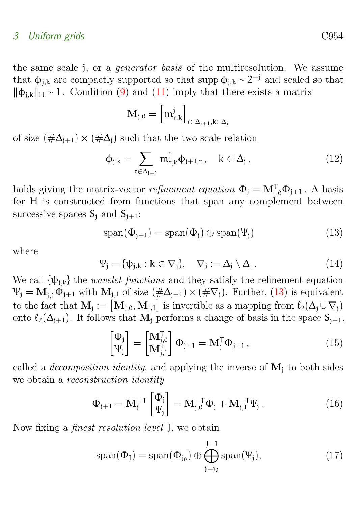the same scale j, or a generator basis of the multiresolution. We assume that  $\phi_{j,k}$  are compactly supported so that supp  $\phi_{j,k} \sim 2^{-j}$  and scaled so that  $\|\phi_{i,k}\|_{\mathcal{H}}$  ∼ 1 . Condition [\(9\)](#page-4-0) and [\(11\)](#page-4-1) imply that there exists a matrix

$$
\mathbf{M}_{\mathfrak{j},0}=\left[\mathfrak{m}_{\mathfrak{r},\mathsf{k}}^{\mathfrak{j}}\right]_{\mathfrak{r}\in\Delta_{\mathfrak{j}+1},\mathsf{k}\in\Delta_{\mathfrak{j}}}
$$

of size  $(\#\Delta_{i+1}) \times (\#\Delta_i)$  such that the two scale relation

$$
\Phi_{j,k} = \sum_{r \in \Delta_{j+1}} m_{r,k}^j \Phi_{j+1,r}, \quad k \in \Delta_j, \tag{12}
$$

holds giving the matrix-vector *refinement equation*  $\Phi_j = \mathbf{M}_{j,0}^{\mathsf{T}} \Phi_{j+1}$ . A basis for H is constructed from functions that span any complement between successive spaces  $S_i$  and  $S_{i+1}$ :

<span id="page-5-0"></span>
$$
span(\Phi_{j+1}) = span(\Phi_j) \oplus span(\Psi_j)
$$
 (13)

where

$$
\Psi_j = \{ \psi_{j,k} : k \in \nabla_j \}, \quad \nabla_j := \Delta_j \setminus \Delta_j \,. \tag{14}
$$

We call  $\{\psi_{i,k}\}\$ the *wavelet functions* and they satisfy the refinement equation  $\Psi_j = \mathbf{M}_{j,1}^{\mathsf{T}} \Phi_{j+1}$  with  $\mathbf{M}_{j,1}$  of size  $(\#\Delta_{j+1}) \times (\#\nabla_j)$ . Further, [\(13\)](#page-5-0) is equivalent to the fact that  $\mathbf{M}_j := [\mathbf{M}_{j,0}, \mathbf{M}_{j,1}]$  is invertible as a mapping from  $\ell_2(\Delta_j \cup \nabla_j)$ onto  $\ell_2(\Delta_{j+1})$ . It follows that  $M_j$  performs a change of basis in the space  $S_{j+1}$ ,

$$
\begin{bmatrix} \Phi_j \\ \Psi_j \end{bmatrix} = \begin{bmatrix} \mathbf{M}_{j,0}^{\mathsf{T}} \\ \mathbf{M}_{j,1}^{\mathsf{T}} \end{bmatrix} \Phi_{j+1} = \mathbf{M}_j^{\mathsf{T}} \Phi_{j+1}, \tag{15}
$$

called a *decomposition identity*, and applying the inverse of  $M_i$  to both sides we obtain a reconstruction identity

$$
\Phi_{j+1} = \mathbf{M}_{j}^{-T} \begin{bmatrix} \Phi_{j} \\ \Psi_{j} \end{bmatrix} = \mathbf{M}_{j,0}^{-T} \Phi_{j} + \mathbf{M}_{j,1}^{-T} \Psi_{j} .
$$
\n(16)

Now fixing a finest resolution level J, we obtain

$$
span(\Phi_J) = span(\Phi_{j_0}) \oplus \bigoplus_{j=j_0}^{J-1} span(\Psi_j), \qquad (17)
$$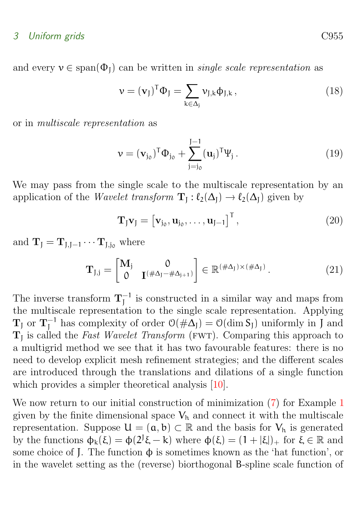<span id="page-6-0"></span>and every  $v \in \text{span}(\Phi_I)$  can be written in *single scale representation* as

$$
\nu = (\mathbf{v}_J)^T \Phi_J = \sum_{k \in \Delta_j} \nu_{J,k} \Phi_{J,k}, \qquad (18)
$$

or in multiscale representation as

$$
\mathbf{v} = (\mathbf{v}_{j_0})^{\mathsf{T}} \Phi_{j_0} + \sum_{j=j_0}^{J-1} (\mathbf{u}_j)^{\mathsf{T}} \Psi_j.
$$
 (19)

We may pass from the single scale to the multiscale representation by an application of the *Wavelet transform*  $\mathbf{T}_J : \ell_2(\Delta_J) \to \ell_2(\Delta_J)$  given by

$$
\mathbf{T}_{J}\mathbf{v}_{J} = \left[\mathbf{v}_{j_{0}}, \mathbf{u}_{j_{0}}, \dots, \mathbf{u}_{J-1}\right]^{\mathsf{T}}, \qquad (20)
$$

and  $\mathbf{T}_{I} = \mathbf{T}_{I,I-1} \cdots \mathbf{T}_{I,i_0}$  where

$$
\mathbf{T}_{J,j} = \begin{bmatrix} \mathbf{M}_j & 0 \\ 0 & \mathbf{I}^{(\#\Delta_J - \#\Delta_{j+1})} \end{bmatrix} \in \mathbb{R}^{(\#\Delta_J) \times (\#\Delta_J)}.
$$
 (21)

The inverse transform  $T_I^{-1}$  $\frac{1}{1}$  is constructed in a similar way and maps from the multiscale representation to the single scale representation. Applying  $\mathbf{T}_\mathrm{J}$  or  $\mathbf{T}_\mathrm{I}^{-1}$  $J_I^{-1}$  has complexity of order  $\mathcal{O}(\#\Delta_J) = \mathcal{O}(\dim \mathcal{S}_J)$  uniformly in J and  $\mathbf{T}_{J}$  is called the Fast Wavelet Transform (FWT). Comparing this approach to a multigrid method we see that it has two favourable features: there is no need to develop explicit mesh refinement strategies; and the different scales are introduced through the translations and dilations of a single function which provides a simpler theoretical analysis [\[10\]](#page-16-7).

We now return to our initial construction of minimization  $(7)$  for Example [1](#page-2-3) given by the finite dimensional space  $V_h$  and connect it with the multiscale representation. Suppose  $U = (a, b) \subset \mathbb{R}$  and the basis for  $V_h$  is generated by the functions  $\phi_k(\xi) = \phi(2^{\dagger}\xi - k)$  where  $\phi(\xi) = (1 + |\xi|)_+$  for  $\xi \in \mathbb{R}$  and some choice of J. The function  $\phi$  is sometimes known as the 'hat function', or in the wavelet setting as the (reverse) biorthogonal B-spline scale function of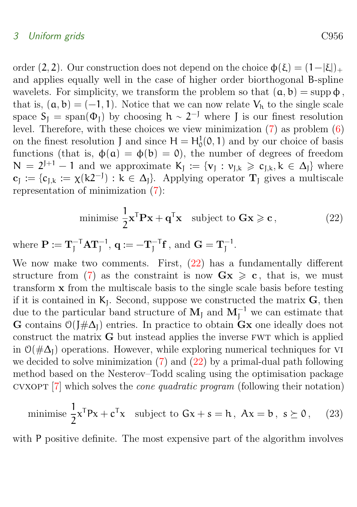<span id="page-7-1"></span>order (2, 2). Our construction does not depend on the choice  $\phi(\xi) = (1 - |\xi|)_+$ and applies equally well in the case of higher order biorthogonal B-spline wavelets. For simplicity, we transform the problem so that  $(a, b) = \text{supp } \phi$ , that is,  $(a, b) = (-1, 1)$ . Notice that we can now relate  $V<sub>h</sub>$  to the single scale space  $S_J = \text{span}(\Phi_J)$  by choosing  $h \sim 2^{-J}$  where J is our finest resolution level. Therefore, with these choices we view minimization [\(7\)](#page-3-2) as problem [\(6\)](#page-3-3) on the finest resolution J and since  $H = H_0^1(0, 1)$  and by our choice of basis functions (that is,  $\phi(\mathfrak{a}) = \phi(\mathfrak{b}) = 0$ ), the number of degrees of freedom  $N = 2^{J+1} - 1$  and we approximate  $K_J := \{v_J : v_{J,k} \geqslant c_{J,k}, k \in \Delta_J\}$  where  $c_J := \{c_{J,k} := \chi(k2^{-J}) : k \in \Delta_J\}$ . Applying operator  $T_J$  gives a multiscale representation of minimization [\(7\)](#page-3-2):

<span id="page-7-0"></span>minimise 
$$
\frac{1}{2} \mathbf{x}^{\mathsf{T}} \mathbf{P} \mathbf{x} + \mathbf{q}^{\mathsf{T}} \mathbf{x}
$$
 subject to  $\mathbf{G} \mathbf{x} \geq \mathbf{c}$ , (22)

where  $\mathbf{P} \coloneqq \mathbf{T}_{\mathsf{J}}^{-\mathsf{T}} \mathbf{A} \mathbf{T}_{\mathsf{J}}^{-1}, \, \mathbf{q} \coloneqq -\mathbf{T}_{\mathsf{J}}^{-\mathsf{T}}$  $\mathbf{G} = \mathbf{T}_{J}^{-1}$  $^{-1}$ .

We now make two comments. First,  $(22)$  has a fundamentally different structure from [\(7\)](#page-3-2) as the constraint is now  $Gx \geqslant c$ , that is, we must transform x from the multiscale basis to the single scale basis before testing if it is contained in  $K_J$ . Second, suppose we constructed the matrix  $G$ , then due to the particular band structure of  $M_J$  and  $M_J^{-1}$  we can estimate that G contains  $\mathcal{O}(\mathcal{J} \# \Delta_I)$  entries. In practice to obtain  $G\mathbf{x}$  one ideally does not construct the matrix G but instead applies the inverse fwt which is applied in  $\mathcal{O}(\#\Delta_J)$  operations. However, while exploring numerical techniques for VI we decided to solve minimization  $(7)$  and  $(22)$  by a primal-dual path following method based on the Nesterov–Todd scaling using the optimisation package cvxopt [\[7\]](#page-15-5) which solves the cone quadratic program (following their notation)

minimise 
$$
\frac{1}{2}x^{\mathsf{T}}Px + c^{\mathsf{T}}x
$$
 subject to  $Gx + s = h$ ,  $Ax = b$ ,  $s \succeq 0$ , (23)

with P positive definite. The most expensive part of the algorithm involves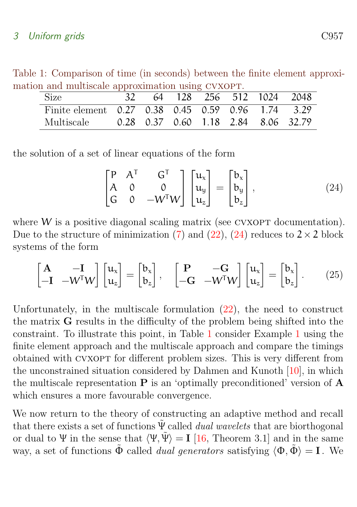<span id="page-8-2"></span>Table 1: Comparison of time (in seconds) between the finite element approximation and multiscale approximation using CVXOPT.

<span id="page-8-1"></span>

| $\ldots$ $\ldots$ $\ldots$ $\ldots$ $\ldots$ $\ldots$ $\ldots$ $\ldots$ $\ldots$ $\ldots$ $\ldots$ $\ldots$ $\ldots$<br>Size |  |  |  | 32 64 128 256 512 1024 2048 |
|------------------------------------------------------------------------------------------------------------------------------|--|--|--|-----------------------------|
| Finite element 0.27 0.38 0.45 0.59 0.96 1.74 3.29                                                                            |  |  |  |                             |
| Multiscale 0.28 0.37 0.60 1.18 2.84 8.06 32.79                                                                               |  |  |  |                             |

the solution of a set of linear equations of the form

<span id="page-8-0"></span>
$$
\begin{bmatrix} P & A^{T} & G^{T} \\ A & 0 & 0 \\ G & 0 & -W^{T}W \end{bmatrix} \begin{bmatrix} u_{x} \\ u_{y} \\ u_{z} \end{bmatrix} = \begin{bmatrix} b_{x} \\ b_{y} \\ b_{z} \end{bmatrix},
$$
(24)

where  $W$  is a positive diagonal scaling matrix (see CVXOPT documentation). Due to the structure of minimization [\(7\)](#page-3-2) and [\(22\)](#page-7-0), [\(24\)](#page-8-0) reduces to  $2 \times 2$  block systems of the form

$$
\begin{bmatrix} \mathbf{A} & -\mathbf{I} \\ -\mathbf{I} & -W^{\mathsf{T}}W \end{bmatrix} \begin{bmatrix} u_x \\ u_z \end{bmatrix} = \begin{bmatrix} b_x \\ b_z \end{bmatrix}, \quad \begin{bmatrix} \mathbf{P} & -\mathbf{G} \\ -\mathbf{G} & -W^{\mathsf{T}}W \end{bmatrix} \begin{bmatrix} u_x \\ u_z \end{bmatrix} = \begin{bmatrix} b_x \\ b_z \end{bmatrix}.
$$
 (25)

Unfortunately, in the multiscale formulation [\(22\)](#page-7-0), the need to construct the matrix G results in the difficulty of the problem being shifted into the constraint. To illustrate this point, in Table [1](#page-8-1) consider Example [1](#page-2-3) using the finite element approach and the multiscale approach and compare the timings obtained with CVXOPT for different problem sizes. This is very different from the unconstrained situation considered by Dahmen and Kunoth [\[10\]](#page-16-7), in which the multiscale representation  $P$  is an 'optimally preconditioned' version of  $A$ which ensures a more favourable convergence.

We now return to the theory of constructing an adaptive method and recall that there exists a set of functions  $\tilde{\Psi}$  called *dual wavelets* that are biorthogonal or dual to Ψ in the sense that  $\langle \Psi, \tilde{\Psi} \rangle = I$  [\[16,](#page-16-6) Theorem 3.1] and in the same way, a set of functions  $\tilde{\Phi}$  called *dual generators* satisfying  $\langle \Phi, \tilde{\Phi} \rangle = I$ . We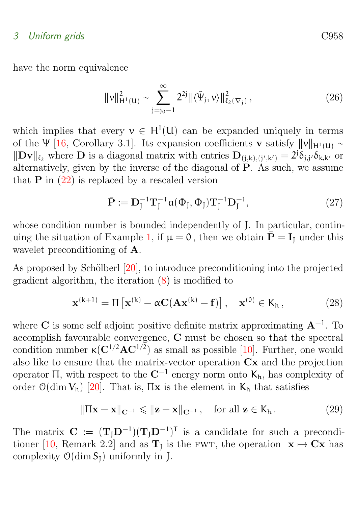<span id="page-9-1"></span>have the norm equivalence

$$
\|\nu\|_{H^1(U)}^2 \sim \sum_{j=j_0-1}^{\infty} 2^{2j} \|\langle \tilde{\Psi}_j, \nu \rangle\|_{\ell_2(\nabla_j)}^2, \qquad (26)
$$

which implies that every  $v \in H^1(U)$  can be expanded uniquely in terms of the Ψ [\[16,](#page-16-6) Corollary 3.1]. Its expansion coefficients v satisfy  $||v||_{H^1(\mathbb{H})} \sim$  $\|\mathbf{D} \mathbf{v}\|_{\ell_2}$  where **D** is a diagonal matrix with entries  $\mathbf{D}_{(j,k),(j',k')} = 2^j \delta_{j,j'} \delta_{k,k'}$  or alternatively, given by the inverse of the diagonal of P. As such, we assume that  $P$  in  $(22)$  is replaced by a rescaled version

$$
\bar{\mathbf{P}} := \mathbf{D}_{J}^{-1} \mathbf{T}_{J}^{-1} \mathbf{a}(\Phi_{J}, \Phi_{J}) \mathbf{T}_{J}^{-1} \mathbf{D}_{J}^{-1}, \qquad (27)
$$

whose condition number is bounded independently of J. In particular, contin-uing the situation of Example [1,](#page-2-3) if  $\mu = 0$ , then we obtain  $\bar{P} = I_1$  under this wavelet preconditioning of A.

As proposed by Schölberl  $[20]$ , to introduce preconditioning into the projected gradient algorithm, the iteration [\(8\)](#page-4-2) is modified to

<span id="page-9-0"></span>
$$
\mathbf{x}^{(k+1)} = \Pi \left[ \mathbf{x}^{(k)} - \alpha \mathbf{C} (\mathbf{A} \mathbf{x}^{(k)} - \mathbf{f}) \right], \quad \mathbf{x}^{(0)} \in \mathsf{K}_{h}, \tag{28}
$$

where C is some self adjoint positive definite matrix approximating  $A^{-1}$ . To accomplish favourable convergence, C must be chosen so that the spectral condition number  $\kappa(C^{1/2}AC^{1/2})$  as small as possible [\[10\]](#page-16-7). Further, one would also like to ensure that the matrix-vector operation  $\overrightarrow{Cx}$  and the projection operator  $\Pi$ , with respect to the  $\mathbb{C}^{-1}$  energy norm onto  $K_{h}$ , has complexity of order  $\mathcal{O}(\dim V_h)$  [\[20\]](#page-17-2). That is,  $\Pi$ **x** is the element in  $K_h$  that satisfies

$$
\|\Pi \mathbf{x} - \mathbf{x}\|_{\mathbf{C}^{-1}} \leqslant \|\mathbf{z} - \mathbf{x}\|_{\mathbf{C}^{-1}}, \quad \text{for all } \mathbf{z} \in \mathsf{K}_{h}.
$$
 (29)

The matrix  $\mathbf{C} := (\mathbf{T}_{J} \mathbf{D}^{-1})(\mathbf{T}_{J} \mathbf{D}^{-1})^{\mathsf{T}}$  is a candidate for such a precondi-tioner [\[10,](#page-16-7) Remark 2.2] and as  $T_J$  is the FWT, the operation  $x \mapsto Cx$  has complexity  $\mathcal{O}(\dim S_I)$  uniformly in J.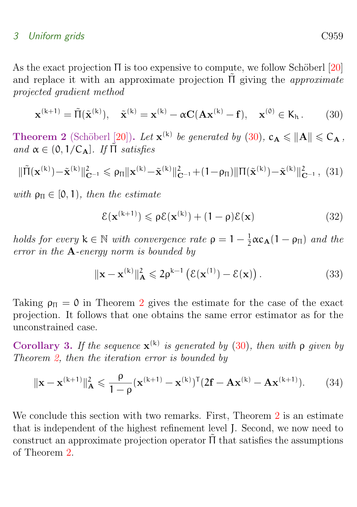<span id="page-10-2"></span>As the exact projection  $\Pi$  is too expensive to compute, we follow Schöberl [\[20\]](#page-17-2) and replace it with an approximate projection  $\tilde{\Pi}$  giving the *approximate* projected gradient method

<span id="page-10-0"></span>
$$
\mathbf{x}^{(k+1)} = \tilde{\Pi}(\tilde{\mathbf{x}}^{(k)}), \quad \tilde{\mathbf{x}}^{(k)} = \mathbf{x}^{(k)} - \alpha \mathbf{C}(\mathbf{A}\mathbf{x}^{(k)} - \mathbf{f}), \quad \mathbf{x}^{(0)} \in \mathsf{K}_{h}.
$$
 (30)

<span id="page-10-1"></span>**Theorem 2** (Schöberl [\[20\]](#page-17-2)). Let  $\mathbf{x}^{(k)}$  be generated by [\(30\)](#page-10-0),  $c_{\mathbf{A}} \le ||\mathbf{A}|| \le C_{\mathbf{A}}$ , and  $\alpha \in (0, 1/C_A)$ . If  $\Pi$  satisfies

$$
\|\tilde{\Pi}(\mathbf{x}^{(k)}) - \tilde{\mathbf{x}}^{(k)}\|_{\mathbf{C}^{-1}}^2 \leqslant \rho_{\Pi} \|\mathbf{x}^{(k)} - \tilde{\mathbf{x}}^{(k)}\|_{\mathbf{C}^{-1}}^2 + (1 - \rho_{\Pi}) \|\Pi(\tilde{\mathbf{x}}^{(k)}) - \tilde{\mathbf{x}}^{(k)}\|_{\mathbf{C}^{-1}}^2, (31)
$$

with  $\rho_{\Pi} \in [0, 1)$ , then the estimate

$$
\mathcal{E}(\mathbf{x}^{(k+1)}) \leqslant \rho \mathcal{E}(\mathbf{x}^{(k)}) + (1 - \rho)\mathcal{E}(\mathbf{x})
$$
\n(32)

holds for every  $k \in \mathbb{N}$  with convergence rate  $\rho = 1 - \frac{1}{2}$  $\frac{1}{2} \alpha c_{\mathbf{A}} (1 - \rho_{\Pi})$  and the error in the A-energy norm is bounded by

$$
\|\mathbf{x} - \mathbf{x}^{(k)}\|_{\mathbf{A}}^2 \leq 2\rho^{k-1} \left(\mathcal{E}(\mathbf{x}^{(1)}) - \mathcal{E}(\mathbf{x})\right). \tag{33}
$$

Taking  $\rho_{\Pi} = 0$  in Theorem [2](#page-10-1) gives the estimate for the case of the exact projection. It follows that one obtains the same error estimator as for the unconstrained case.

Corollary 3. If the sequence  $\mathbf{x}^{(k)}$  is generated by [\(30\)](#page-10-0), then with  $\rho$  given by Theorem [2,](#page-10-1) then the iteration error is bounded by

$$
\|\mathbf{x} - \mathbf{x}^{(k+1)}\|_{\mathbf{A}}^2 \leqslant \frac{\rho}{1-\rho} (\mathbf{x}^{(k+1)} - \mathbf{x}^{(k)})^T (2\mathbf{f} - \mathbf{A}\mathbf{x}^{(k)} - \mathbf{A}\mathbf{x}^{(k+1)}).
$$
 (34)

We conclude this section with two remarks. First, Theorem [2](#page-10-1) is an estimate that is independent of the highest refinement level J. Second, we now need to construct an approximate projection operator  $\tilde{\Pi}$  that satisfies the assumptions of Theorem [2.](#page-10-1)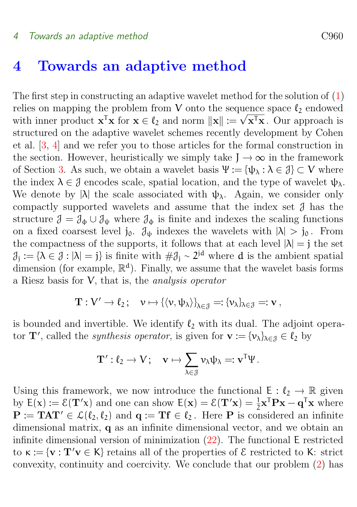### <span id="page-11-1"></span><span id="page-11-0"></span>4 Towards an adaptive method

The first step in constructing an adaptive wavelet method for the solution of [\(1\)](#page-2-1) relies on mapping the problem from V onto the sequence space  $\ell_2$  endowed relies on mapping the problem from v onto the sequence space  $\iota_2$  endowed<br>with inner product  $\mathbf{x}^T \mathbf{x}$  for  $\mathbf{x} \in \ell_2$  and norm  $\|\mathbf{x}\| := \sqrt{\mathbf{x}^T \mathbf{x}}$ . Our approach is structured on the adaptive wavelet schemes recently development by Cohen et al. [\[3,](#page-15-1) [4\]](#page-15-2) and we refer you to those articles for the formal construction in the section. However, heuristically we simply take  $J \to \infty$  in the framework of Section [3.](#page-3-0) As such, we obtain a wavelet basis  $\Psi := {\psi_{\lambda} : \lambda \in \mathcal{J}} \subset V$  where the index  $\lambda \in \mathcal{J}$  encodes scale, spatial location, and the type of wavelet  $\psi_{\lambda}$ . We denote by  $|\lambda|$  the scale associated with  $\psi_{\lambda}$ . Again, we consider only compactly supported wavelets and assume that the index set  $\mathcal J$  has the structure  $\mathcal{J} = \mathcal{J}_{\phi} \cup \mathcal{J}_{\psi}$  where  $\mathcal{J}_{\phi}$  is finite and indexes the scaling functions on a fixed coarsest level j<sub>0</sub>.  $\mathcal{J}_{\psi}$  indexes the wavelets with  $|\lambda| > j_0$ . From the compactness of the supports, it follows that at each level  $|\lambda| = j$  the set  $\mathcal{J}_j := {\lambda \in \mathcal{J} : |\lambda| = j}$  is finite with  $\#\mathcal{J}_j \sim 2^{jd}$  where d is the ambient spatial dimension (for example,  $\mathbb{R}^d$ ). Finally, we assume that the wavelet basis forms a Riesz basis for V, that is, the analysis operator

$$
\mathbf{T}:V'\to\ell_2\,;\quad\nu\mapsto\{\langle\nu,\psi_\lambda\rangle\}_{\lambda\in\mathcal{J}}=:\{\nu_\lambda\}_{\lambda\in\mathcal{J}}=:\mathbf{v}\,,
$$

is bounded and invertible. We identify  $\ell_2$  with its dual. The adjoint operator **T**', called the *synthesis operator*, is given for  $\mathbf{v} := \{v_{\lambda}\}_{{\lambda \in \mathcal{J}}} \in \ell_2$  by

$$
\mathbf{T}':\ell_2\to V;\quad \mathbf{v}\mapsto \sum_{\lambda\in\mathcal{J}}\nu_\lambda\psi_\lambda=: \mathbf{v}^T\Psi\,.
$$

Using this framework, we now introduce the functional  $E : \ell_2 \to \mathbb{R}$  given by  $E(x) := \mathcal{E}(\mathbf{T}'x)$  and one can show  $E(x) = \mathcal{E}(\mathbf{T}'x) = \frac{1}{2}x^{\mathsf{T}}\mathbf{P}x - \mathbf{q}^{\mathsf{T}}x$  where  $P := TAT' \in \mathcal{L}(\ell_2,\ell_2)$  and  $q := Tf \in \ell_2$ . Here P is considered an infinite dimensional matrix, q as an infinite dimensional vector, and we obtain an infinite dimensional version of minimization [\(22\)](#page-7-0). The functional E restricted to  $\kappa := {\mathbf{v} : \mathbf{T'v} \in K}$  retains all of the properties of  $\mathcal E$  restricted to K: strict convexity, continuity and coercivity. We conclude that our problem [\(2\)](#page-2-2) has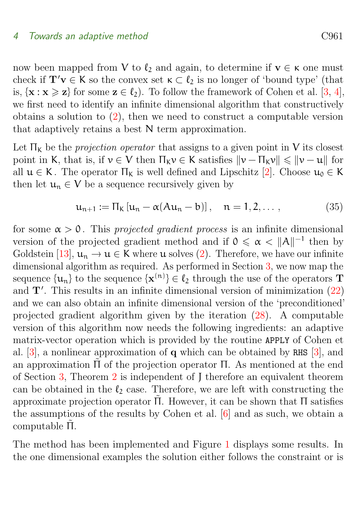#### <span id="page-12-0"></span>4 Towards an adaptive method C961

now been mapped from V to  $\ell_2$  and again, to determine if  $\mathbf{v} \in \kappa$  one must check if  $T'v \in K$  so the convex set  $\kappa \subset \ell_2$  is no longer of 'bound type' (that is,  $\{x : x \geqslant z\}$  for some  $z \in \ell_2$ ). To follow the framework of Cohen et al. [\[3,](#page-15-1) [4\]](#page-15-2), we first need to identify an infinite dimensional algorithm that constructively obtains a solution to [\(2\)](#page-2-2), then we need to construct a computable version that adaptively retains a best N term approximation.

Let  $\Pi_{\mathbf{K}}$  be the projection operator that assigns to a given point in V its closest point in K, that is, if  $v \in V$  then  $\Pi_K v \in K$  satisfies  $\|v - \Pi_K v\| \leq \|v - u\|$  for all  $u \in K$ . The operator  $\Pi_K$  is well defined and Lipschitz [\[2\]](#page-15-6). Choose  $u_0 \in K$ then let  $u_n \in V$  be a sequence recursively given by

$$
\mathfrak{u}_{n+1} := \Pi_{\mathsf{K}} \left[ \mathfrak{u}_n - \alpha (\mathsf{A} \mathfrak{u}_n - \mathfrak{b}) \right], \quad n = 1, 2, \dots,
$$
 (35)

for some  $\alpha > 0$ . This projected gradient process is an infinite dimensional version of the projected gradient method and if  $0 \le \alpha < ||A||^{-1}$  then by Goldstein [\[13\]](#page-16-8),  $u_n \to u \in K$  where u solves [\(2\)](#page-2-2). Therefore, we have our infinite dimensional algorithm as required. As performed in Section [3,](#page-3-0) we now map the sequence  $\{u_n\}$  to the sequence  $\{x^{(n)}\} \in \ell_2$  through the use of the operators **T** and  $\mathbf{T}'$ . This results in an infinite dimensional version of minimization  $(22)$ and we can also obtain an infinite dimensional version of the 'preconditioned' projected gradient algorithm given by the iteration [\(28\)](#page-9-0). A computable version of this algorithm now needs the following ingredients: an adaptive matrix-vector operation which is provided by the routine APPLY of Cohen et al. [\[3\]](#page-15-1), a nonlinear approximation of q which can be obtained by RHS [\[3\]](#page-15-1), and an approximation  $\tilde{\Pi}$  of the projection operator  $\Pi$ . As mentioned at the end of Section [3,](#page-3-0) Theorem [2](#page-10-1) is independent of J therefore an equivalent theorem can be obtained in the  $\ell_2$  case. Therefore, we are left with constructing the approximate projection operator  $\Pi$ . However, it can be shown that  $\Pi$  satisfies the assumptions of the results by Cohen et al. [\[6\]](#page-15-7) and as such, we obtain a computable  $\tilde{\Pi}$ .

The method has been implemented and Figure [1](#page-13-0) displays some results. In the one dimensional examples the solution either follows the constraint or is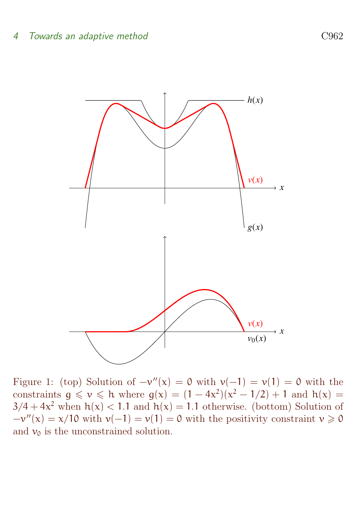

<span id="page-13-0"></span>Figure 1: (top) Solution of  $-v''(x) = 0$  with  $v(-1) = v(1) = 0$  with the constraints  $g \leq v \leq h$  where  $g(x) = (1 - 4x^2)(x^2 - 1/2) + 1$  and  $h(x) =$  $3/4 + 4x^2$  when  $h(x) < 1.1$  and  $h(x) = 1.1$  otherwise. (bottom) Solution of  $-v''(x) = x/10$  with  $v(-1) = v(1) = 0$  with the positivity constraint  $v \ge 0$ and  $v_0$  is the unconstrained solution.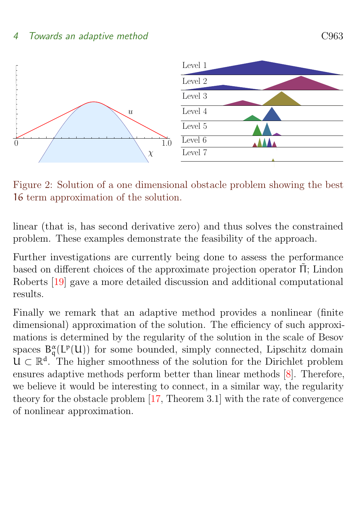<span id="page-14-0"></span>

Figure 2: Solution of a one dimensional obstacle problem showing the best 16 term approximation of the solution.

linear (that is, has second derivative zero) and thus solves the constrained problem. These examples demonstrate the feasibility of the approach.

Further investigations are currently being done to assess the performance based on different choices of the approximate projection operator  $\tilde{\Pi}$ ; Lindon Roberts [\[19\]](#page-16-9) gave a more detailed discussion and additional computational results.

Finally we remark that an adaptive method provides a nonlinear (finite dimensional) approximation of the solution. The efficiency of such approximations is determined by the regularity of the solution in the scale of Besov spaces  $B_q^{\alpha}(L^p(U))$  for some bounded, simply connected, Lipschitz domain  $U \subset \mathbb{R}^d$ . The higher smoothness of the solution for the Dirichlet problem ensures adaptive methods perform better than linear methods [\[8\]](#page-15-8). Therefore, we believe it would be interesting to connect, in a similar way, the regularity theory for the obstacle problem [\[17,](#page-16-10) Theorem 3.1] with the rate of convergence of nonlinear approximation.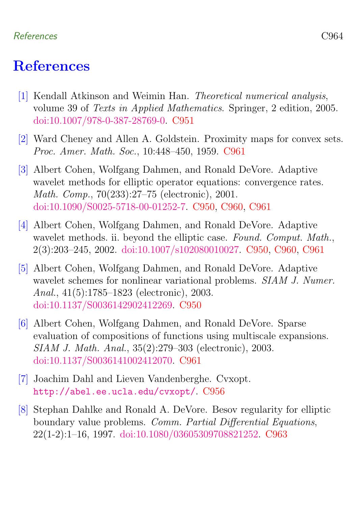#### References C964

# <span id="page-15-0"></span>References

- <span id="page-15-4"></span>[1] Kendall Atkinson and Weimin Han. Theoretical numerical analysis, volume 39 of Texts in Applied Mathematics. Springer, 2 edition, 2005. [doi:10.1007/978-0-387-28769-0.](http://dx.doi.org/10.1007/978-0-387-28769-0) [C951](#page-2-4)
- <span id="page-15-6"></span>[2] Ward Cheney and Allen A. Goldstein. Proximity maps for convex sets. Proc. Amer. Math. Soc., 10:448–450, 1959. [C961](#page-12-0)
- <span id="page-15-1"></span>[3] Albert Cohen, Wolfgang Dahmen, and Ronald DeVore. Adaptive wavelet methods for elliptic operator equations: convergence rates. Math. Comp., 70(233):27–75 (electronic), 2001. [doi:10.1090/S0025-5718-00-01252-7.](http://dx.doi.org/10.1090/S0025-5718-00-01252-7) [C950,](#page-1-1) [C960,](#page-11-1) [C961](#page-12-0)
- <span id="page-15-2"></span>[4] Albert Cohen, Wolfgang Dahmen, and Ronald DeVore. Adaptive wavelet methods. ii. beyond the elliptic case. Found. Comput. Math., 2(3):203–245, 2002. [doi:10.1007/s102080010027.](http://dx.doi.org/10.1007/s102080010027) [C950,](#page-1-1) [C960,](#page-11-1) [C961](#page-12-0)
- <span id="page-15-3"></span>[5] Albert Cohen, Wolfgang Dahmen, and Ronald DeVore. Adaptive wavelet schemes for nonlinear variational problems. *SIAM J. Numer*. Anal., 41(5):1785–1823 (electronic), 2003. [doi:10.1137/S0036142902412269.](http://dx.doi.org/10.1137/S0036142902412269) [C950](#page-1-1)
- <span id="page-15-7"></span>[6] Albert Cohen, Wolfgang Dahmen, and Ronald DeVore. Sparse evaluation of compositions of functions using multiscale expansions. SIAM J. Math. Anal., 35(2):279–303 (electronic), 2003. [doi:10.1137/S0036141002412070.](http://dx.doi.org/10.1137/S0036141002412070) [C961](#page-12-0)
- <span id="page-15-5"></span>[7] Joachim Dahl and Lieven Vandenberghe. Cvxopt. <http://abel.ee.ucla.edu/cvxopt/>. [C956](#page-7-1)
- <span id="page-15-8"></span>[8] Stephan Dahlke and Ronald A. DeVore. Besov regularity for elliptic boundary value problems. Comm. Partial Differential Equations, 22(1-2):1–16, 1997. [doi:10.1080/03605309708821252.](http://dx.doi.org/10.1080/03605309708821252) [C963](#page-14-0)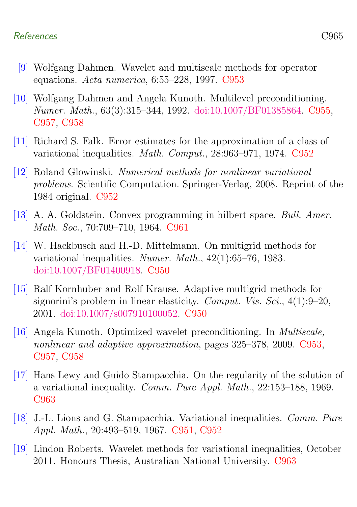#### References C965

- <span id="page-16-5"></span>[9] Wolfgang Dahmen. Wavelet and multiscale methods for operator equations. Acta numerica, 6:55–228, 1997. [C953](#page-4-3)
- <span id="page-16-7"></span>[10] Wolfgang Dahmen and Angela Kunoth. Multilevel preconditioning. Numer. Math., 63(3):315–344, 1992. [doi:10.1007/BF01385864.](http://dx.doi.org/10.1007/BF01385864) [C955,](#page-6-0) [C957,](#page-8-2) [C958](#page-9-1)
- <span id="page-16-4"></span>[11] Richard S. Falk. Error estimates for the approximation of a class of variational inequalities. Math. Comput., 28:963–971, 1974. [C952](#page-3-4)
- <span id="page-16-3"></span>[12] Roland Glowinski. Numerical methods for nonlinear variational problems. Scientific Computation. Springer-Verlag, 2008. Reprint of the 1984 original. [C952](#page-3-4)
- <span id="page-16-8"></span>[13] A. A. Goldstein. Convex programming in hilbert space. Bull. Amer. Math. Soc., 70:709–710, 1964. [C961](#page-12-0)
- <span id="page-16-0"></span>[14] W. Hackbusch and H.-D. Mittelmann. On multigrid methods for variational inequalities. Numer. Math., 42(1):65–76, 1983. [doi:10.1007/BF01400918.](http://dx.doi.org/10.1007/BF01400918) [C950](#page-1-1)
- <span id="page-16-1"></span>[15] Ralf Kornhuber and Rolf Krause. Adaptive multigrid methods for signorini's problem in linear elasticity. Comput. Vis. Sci.,  $4(1):9-20$ , 2001. [doi:10.1007/s007910100052.](http://dx.doi.org/10.1007/s007910100052) [C950](#page-1-1)
- <span id="page-16-6"></span>[16] Angela Kunoth. Optimized wavelet preconditioning. In Multiscale, nonlinear and adaptive approximation, pages 325–378, 2009. [C953,](#page-4-3) [C957,](#page-8-2) [C958](#page-9-1)
- <span id="page-16-10"></span>[17] Hans Lewy and Guido Stampacchia. On the regularity of the solution of a variational inequality. Comm. Pure Appl. Math., 22:153–188, 1969. [C963](#page-14-0)
- <span id="page-16-2"></span>[18] J.-L. Lions and G. Stampacchia. Variational inequalities. Comm. Pure Appl. Math., 20:493–519, 1967. [C951,](#page-2-4) [C952](#page-3-4)
- <span id="page-16-9"></span>[19] Lindon Roberts. Wavelet methods for variational inequalities, October 2011. Honours Thesis, Australian National University. [C963](#page-14-0)